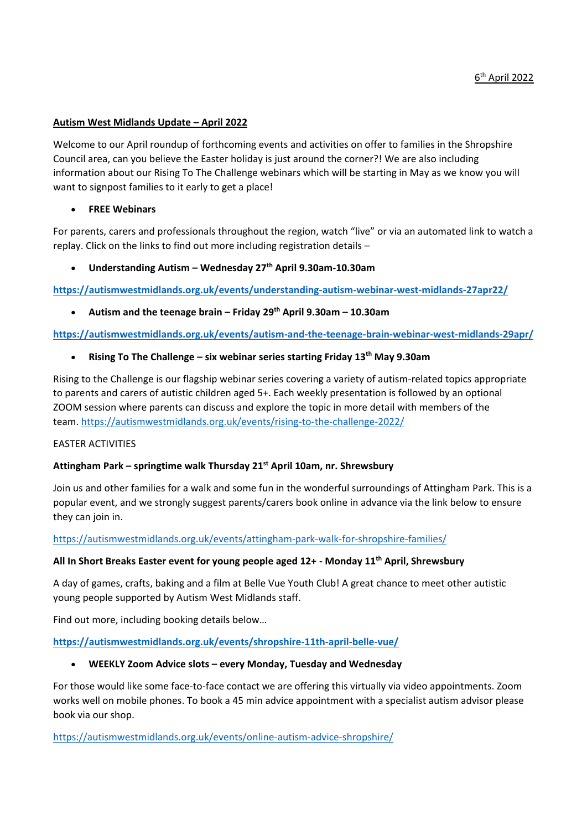#### **Autism West Midlands Update – April 2022**

Welcome to our April roundup of forthcoming events and activities on offer to families in the Shropshire Council area, can you believe the Easter holiday is just around the corner?! We are also including information about our Rising To The Challenge webinars which will be starting in May as we know you will want to signpost families to it early to get a place!

## • **FREE Webinars**

For parents, carers and professionals throughout the region, watch "live" or via an automated link to watch a replay. Click on the links to find out more including registration details –

## • **Understanding Autism – Wednesday 27th April 9.30am-10.30am**

**<https://autismwestmidlands.org.uk/events/understanding-autism-webinar-west-midlands-27apr22/>**

• **Autism and the teenage brain – Friday 29th April 9.30am – 10.30am**

**<https://autismwestmidlands.org.uk/events/autism-and-the-teenage-brain-webinar-west-midlands-29apr/>**

## • **Rising To The Challenge – six webinar series starting Friday 13th May 9.30am**

Rising to the Challenge is our flagship webinar series covering a variety of autism-related topics appropriate to parents and carers of autistic children aged 5+. Each weekly presentation is followed by an optional ZOOM session where parents can discuss and explore the topic in more detail with members of the team. <https://autismwestmidlands.org.uk/events/rising-to-the-challenge-2022/>

# EASTER ACTIVITIES

# **Attingham Park – springtime walk Thursday 21st April 10am, nr. Shrewsbury**

Join us and other families for a walk and some fun in the wonderful surroundings of Attingham Park. This is a popular event, and we strongly suggest parents/carers book online in advance via the link below to ensure they can join in.

# <https://autismwestmidlands.org.uk/events/attingham-park-walk-for-shropshire-families/>

#### **All In Short Breaks Easter event for young people aged 12+ - Monday 11th April, Shrewsbury**

A day of games, crafts, baking and a film at Belle Vue Youth Club! A great chance to meet other autistic young people supported by Autism West Midlands staff.

Find out more, including booking details below…

#### **<https://autismwestmidlands.org.uk/events/shropshire-11th-april-belle-vue/>**

#### • **WEEKLY Zoom Advice slots – every Monday, Tuesday and Wednesday**

For those would like some face-to-face contact we are offering this virtually via video appointments. Zoom works well on mobile phones. To book a 45 min advice appointment with a specialist autism advisor please book via our shop.

<https://autismwestmidlands.org.uk/events/online-autism-advice-shropshire/>